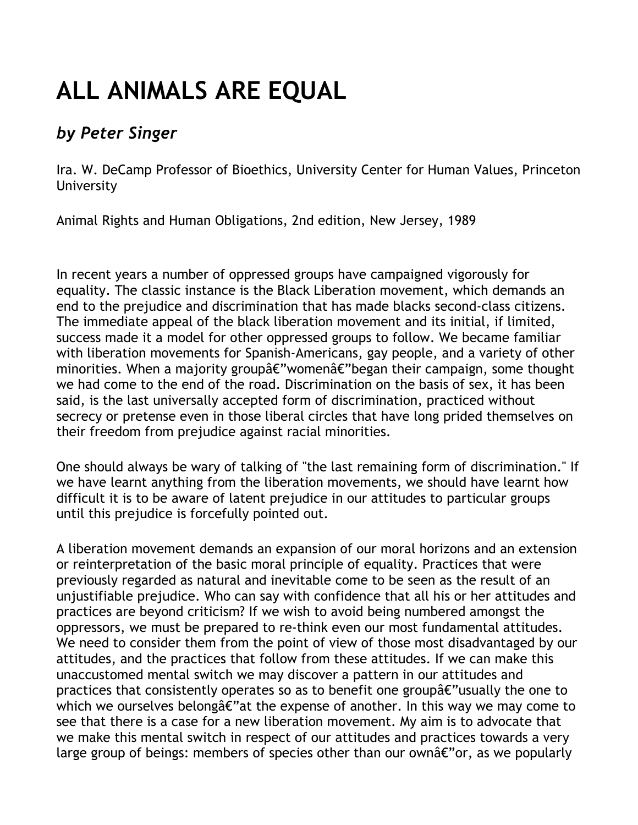## **ALL ANIMALS ARE EQUAL**

## *by Peter Singer*

Ira. W. DeCamp Professor of Bioethics, University Center for Human Values, Princeton **University** 

Animal Rights and Human Obligations, 2nd edition, New Jersey, 1989

In recent years a number of oppressed groups have campaigned vigorously for equality. The classic instance is the Black Liberation movement, which demands an end to the prejudice and discrimination that has made blacks second-class citizens. The immediate appeal of the black liberation movement and its initial, if limited, success made it a model for other oppressed groups to follow. We became familiar with liberation movements for Spanish-Americans, gay people, and a variety of other minorities. When a majority groupâ€"womenâ€"began their campaign, some thought we had come to the end of the road. Discrimination on the basis of sex, it has been said, is the last universally accepted form of discrimination, practiced without secrecy or pretense even in those liberal circles that have long prided themselves on their freedom from prejudice against racial minorities.

One should always be wary of talking of "the last remaining form of discrimination." If we have learnt anything from the liberation movements, we should have learnt how difficult it is to be aware of latent prejudice in our attitudes to particular groups until this prejudice is forcefully pointed out.

A liberation movement demands an expansion of our moral horizons and an extension or reinterpretation of the basic moral principle of equality. Practices that were previously regarded as natural and inevitable come to be seen as the result of an unjustifiable prejudice. Who can say with confidence that all his or her attitudes and practices are beyond criticism? If we wish to avoid being numbered amongst the oppressors, we must be prepared to re-think even our most fundamental attitudes. We need to consider them from the point of view of those most disadvantaged by our attitudes, and the practices that follow from these attitudes. If we can make this unaccustomed mental switch we may discover a pattern in our attitudes and practices that consistently operates so as to benefit one groupâ€"usually the one to which we ourselves belongâ€"at the expense of another. In this way we may come to see that there is a case for a new liberation movement. My aim is to advocate that we make this mental switch in respect of our attitudes and practices towards a very large group of beings: members of species other than our ownâ€"or, as we popularly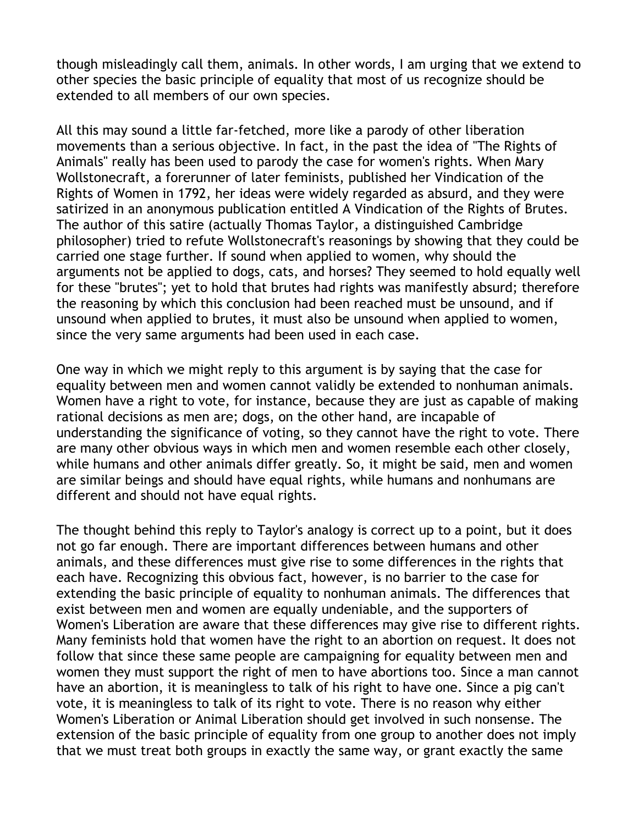though misleadingly call them, animals. In other words, I am urging that we extend to other species the basic principle of equality that most of us recognize should be extended to all members of our own species.

All this may sound a little far-fetched, more like a parody of other liberation movements than a serious objective. In fact, in the past the idea of "The Rights of Animals" really has been used to parody the case for women's rights. When Mary Wollstonecraft, a forerunner of later feminists, published her Vindication of the Rights of Women in 1792, her ideas were widely regarded as absurd, and they were satirized in an anonymous publication entitled A Vindication of the Rights of Brutes. The author of this satire (actually Thomas Taylor, a distinguished Cambridge philosopher) tried to refute Wollstonecraft's reasonings by showing that they could be carried one stage further. If sound when applied to women, why should the arguments not be applied to dogs, cats, and horses? They seemed to hold equally well for these "brutes"; yet to hold that brutes had rights was manifestly absurd; therefore the reasoning by which this conclusion had been reached must be unsound, and if unsound when applied to brutes, it must also be unsound when applied to women, since the very same arguments had been used in each case.

One way in which we might reply to this argument is by saying that the case for equality between men and women cannot validly be extended to nonhuman animals. Women have a right to vote, for instance, because they are just as capable of making rational decisions as men are; dogs, on the other hand, are incapable of understanding the significance of voting, so they cannot have the right to vote. There are many other obvious ways in which men and women resemble each other closely, while humans and other animals differ greatly. So, it might be said, men and women are similar beings and should have equal rights, while humans and nonhumans are different and should not have equal rights.

The thought behind this reply to Taylor's analogy is correct up to a point, but it does not go far enough. There are important differences between humans and other animals, and these differences must give rise to some differences in the rights that each have. Recognizing this obvious fact, however, is no barrier to the case for extending the basic principle of equality to nonhuman animals. The differences that exist between men and women are equally undeniable, and the supporters of Women's Liberation are aware that these differences may give rise to different rights. Many feminists hold that women have the right to an abortion on request. It does not follow that since these same people are campaigning for equality between men and women they must support the right of men to have abortions too. Since a man cannot have an abortion, it is meaningless to talk of his right to have one. Since a pig can't vote, it is meaningless to talk of its right to vote. There is no reason why either Women's Liberation or Animal Liberation should get involved in such nonsense. The extension of the basic principle of equality from one group to another does not imply that we must treat both groups in exactly the same way, or grant exactly the same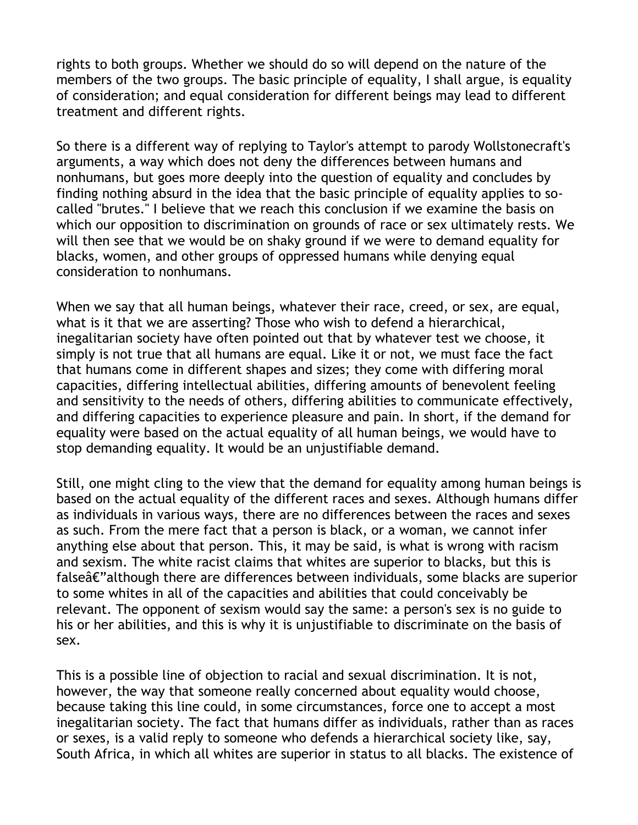rights to both groups. Whether we should do so will depend on the nature of the members of the two groups. The basic principle of equality, I shall argue, is equality of consideration; and equal consideration for different beings may lead to different treatment and different rights.

So there is a different way of replying to Taylor's attempt to parody Wollstonecraft's arguments, a way which does not deny the differences between humans and nonhumans, but goes more deeply into the question of equality and concludes by finding nothing absurd in the idea that the basic principle of equality applies to socalled "brutes." I believe that we reach this conclusion if we examine the basis on which our opposition to discrimination on grounds of race or sex ultimately rests. We will then see that we would be on shaky ground if we were to demand equality for blacks, women, and other groups of oppressed humans while denying equal consideration to nonhumans.

When we say that all human beings, whatever their race, creed, or sex, are equal, what is it that we are asserting? Those who wish to defend a hierarchical, inegalitarian society have often pointed out that by whatever test we choose, it simply is not true that all humans are equal. Like it or not, we must face the fact that humans come in different shapes and sizes; they come with differing moral capacities, differing intellectual abilities, differing amounts of benevolent feeling and sensitivity to the needs of others, differing abilities to communicate effectively, and differing capacities to experience pleasure and pain. In short, if the demand for equality were based on the actual equality of all human beings, we would have to stop demanding equality. It would be an unjustifiable demand.

Still, one might cling to the view that the demand for equality among human beings is based on the actual equality of the different races and sexes. Although humans differ as individuals in various ways, there are no differences between the races and sexes as such. From the mere fact that a person is black, or a woman, we cannot infer anything else about that person. This, it may be said, is what is wrong with racism and sexism. The white racist claims that whites are superior to blacks, but this is falseâ€"although there are differences between individuals, some blacks are superior to some whites in all of the capacities and abilities that could conceivably be relevant. The opponent of sexism would say the same: a person's sex is no guide to his or her abilities, and this is why it is unjustifiable to discriminate on the basis of sex.

This is a possible line of objection to racial and sexual discrimination. It is not, however, the way that someone really concerned about equality would choose, because taking this line could, in some circumstances, force one to accept a most inegalitarian society. The fact that humans differ as individuals, rather than as races or sexes, is a valid reply to someone who defends a hierarchical society like, say, South Africa, in which all whites are superior in status to all blacks. The existence of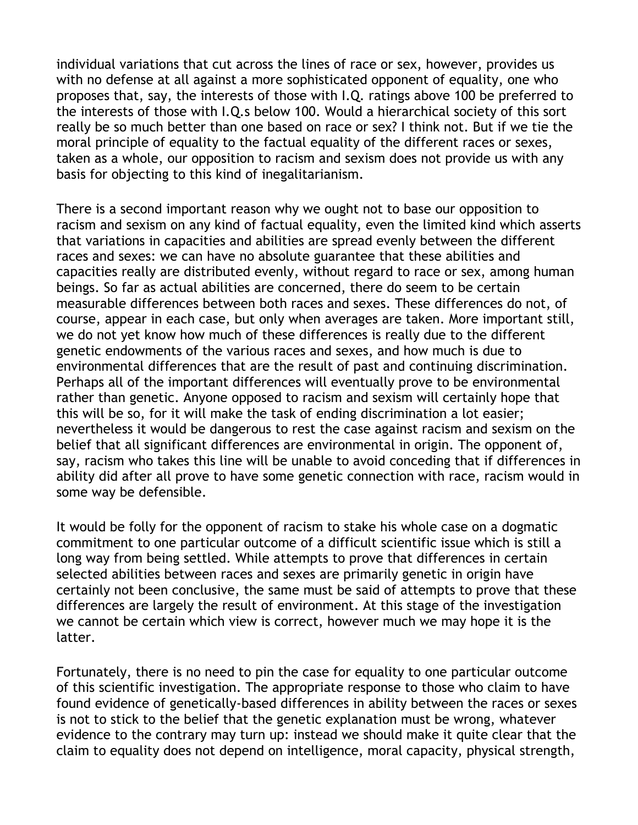individual variations that cut across the lines of race or sex, however, provides us with no defense at all against a more sophisticated opponent of equality, one who proposes that, say, the interests of those with I.Q. ratings above 100 be preferred to the interests of those with I.Q.s below 100. Would a hierarchical society of this sort really be so much better than one based on race or sex? I think not. But if we tie the moral principle of equality to the factual equality of the different races or sexes, taken as a whole, our opposition to racism and sexism does not provide us with any basis for objecting to this kind of inegalitarianism.

There is a second important reason why we ought not to base our opposition to racism and sexism on any kind of factual equality, even the limited kind which asserts that variations in capacities and abilities are spread evenly between the different races and sexes: we can have no absolute guarantee that these abilities and capacities really are distributed evenly, without regard to race or sex, among human beings. So far as actual abilities are concerned, there do seem to be certain measurable differences between both races and sexes. These differences do not, of course, appear in each case, but only when averages are taken. More important still, we do not yet know how much of these differences is really due to the different genetic endowments of the various races and sexes, and how much is due to environmental differences that are the result of past and continuing discrimination. Perhaps all of the important differences will eventually prove to be environmental rather than genetic. Anyone opposed to racism and sexism will certainly hope that this will be so, for it will make the task of ending discrimination a lot easier; nevertheless it would be dangerous to rest the case against racism and sexism on the belief that all significant differences are environmental in origin. The opponent of, say, racism who takes this line will be unable to avoid conceding that if differences in ability did after all prove to have some genetic connection with race, racism would in some way be defensible.

It would be folly for the opponent of racism to stake his whole case on a dogmatic commitment to one particular outcome of a difficult scientific issue which is still a long way from being settled. While attempts to prove that differences in certain selected abilities between races and sexes are primarily genetic in origin have certainly not been conclusive, the same must be said of attempts to prove that these differences are largely the result of environment. At this stage of the investigation we cannot be certain which view is correct, however much we may hope it is the latter.

Fortunately, there is no need to pin the case for equality to one particular outcome of this scientific investigation. The appropriate response to those who claim to have found evidence of genetically-based differences in ability between the races or sexes is not to stick to the belief that the genetic explanation must be wrong, whatever evidence to the contrary may turn up: instead we should make it quite clear that the claim to equality does not depend on intelligence, moral capacity, physical strength,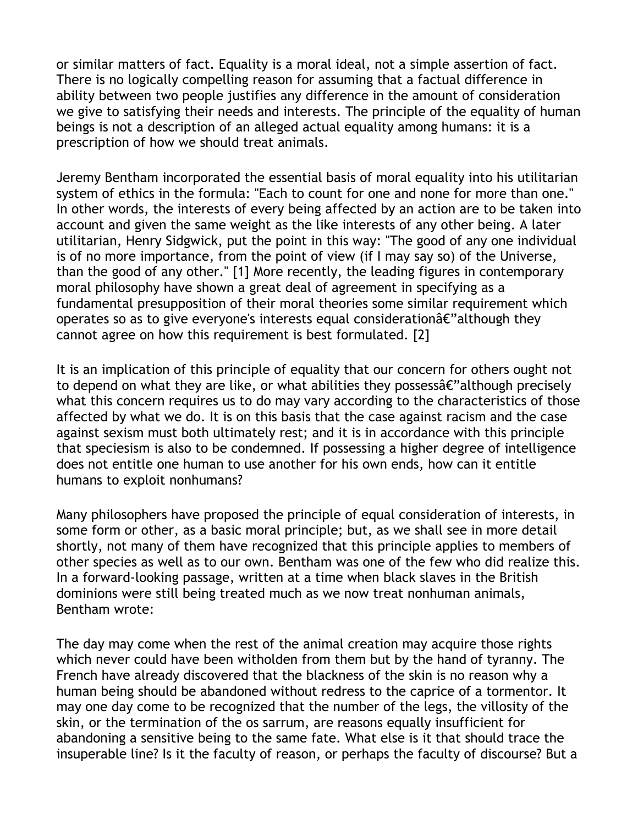or similar matters of fact. Equality is a moral ideal, not a simple assertion of fact. There is no logically compelling reason for assuming that a factual difference in ability between two people justifies any difference in the amount of consideration we give to satisfying their needs and interests. The principle of the equality of human beings is not a description of an alleged actual equality among humans: it is a prescription of how we should treat animals.

Jeremy Bentham incorporated the essential basis of moral equality into his utilitarian system of ethics in the formula: "Each to count for one and none for more than one." In other words, the interests of every being affected by an action are to be taken into account and given the same weight as the like interests of any other being. A later utilitarian, Henry Sidgwick, put the point in this way: "The good of any one individual is of no more importance, from the point of view (if I may say so) of the Universe, than the good of any other.'' [1] More recently, the leading figures in contemporary moral philosophy have shown a great deal of agreement in specifying as a fundamental presupposition of their moral theories some similar requirement which operates so as to give everyone's interests equal considerationâ€"although they cannot agree on how this requirement is best formulated. [2]

It is an implication of this principle of equality that our concern for others ought not to depend on what they are like, or what abilities they possessâ€"although precisely what this concern requires us to do may vary according to the characteristics of those affected by what we do. It is on this basis that the case against racism and the case against sexism must both ultimately rest; and it is in accordance with this principle that speciesism is also to be condemned. If possessing a higher degree of intelligence does not entitle one human to use another for his own ends, how can it entitle humans to exploit nonhumans?

Many philosophers have proposed the principle of equal consideration of interests, in some form or other, as a basic moral principle; but, as we shall see in more detail shortly, not many of them have recognized that this principle applies to members of other species as well as to our own. Bentham was one of the few who did realize this. In a forward-looking passage, written at a time when black slaves in the British dominions were still being treated much as we now treat nonhuman animals, Bentham wrote:

The day may come when the rest of the animal creation may acquire those rights which never could have been witholden from them but by the hand of tyranny. The French have already discovered that the blackness of the skin is no reason why a human being should be abandoned without redress to the caprice of a tormentor. It may one day come to be recognized that the number of the legs, the villosity of the skin, or the termination of the os sarrum, are reasons equally insufficient for abandoning a sensitive being to the same fate. What else is it that should trace the insuperable line? Is it the faculty of reason, or perhaps the faculty of discourse? But a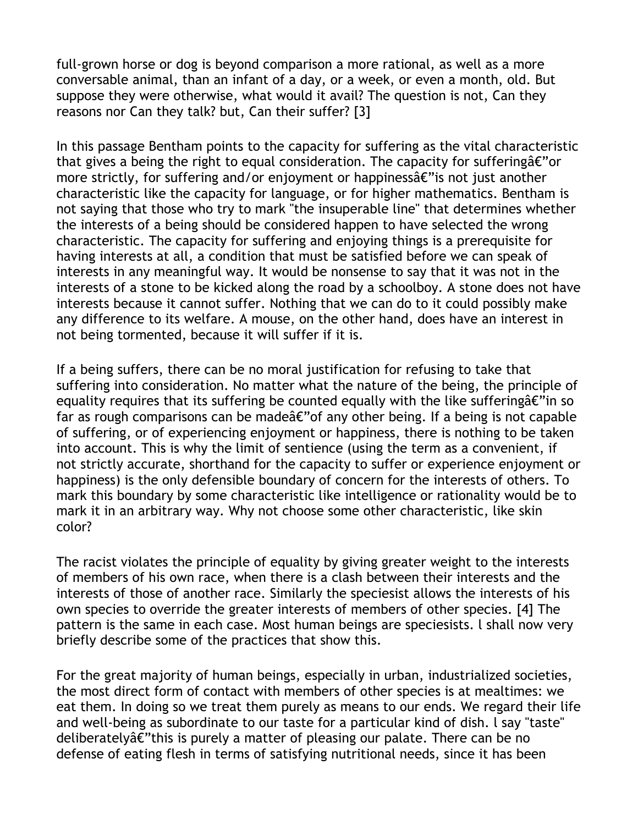full-grown horse or dog is beyond comparison a more rational, as well as a more conversable animal, than an infant of a day, or a week, or even a month, old. But suppose they were otherwise, what would it avail? The question is not, Can they reasons nor Can they talk? but, Can their suffer? [3]

In this passage Bentham points to the capacity for suffering as the vital characteristic that gives a being the right to equal consideration. The capacity for sufferingâ€"or more strictly, for suffering and/or enjoyment or happinessâ€"is not just another characteristic like the capacity for language, or for higher mathematics. Bentham is not saying that those who try to mark "the insuperable line" that determines whether the interests of a being should be considered happen to have selected the wrong characteristic. The capacity for suffering and enjoying things is a prerequisite for having interests at all, a condition that must be satisfied before we can speak of interests in any meaningful way. It would be nonsense to say that it was not in the interests of a stone to be kicked along the road by a schoolboy. A stone does not have interests because it cannot suffer. Nothing that we can do to it could possibly make any difference to its welfare. A mouse, on the other hand, does have an interest in not being tormented, because it will suffer if it is.

If a being suffers, there can be no moral justification for refusing to take that suffering into consideration. No matter what the nature of the being, the principle of equality requires that its suffering be counted equally with the like sufferingâ€"in so far as rough comparisons can be madeâ€"of any other being. If a being is not capable of suffering, or of experiencing enjoyment or happiness, there is nothing to be taken into account. This is why the limit of sentience (using the term as a convenient, if not strictly accurate, shorthand for the capacity to suffer or experience enjoyment or happiness) is the only defensible boundary of concern for the interests of others. To mark this boundary by some characteristic like intelligence or rationality would be to mark it in an arbitrary way. Why not choose some other characteristic, like skin color?

The racist violates the principle of equality by giving greater weight to the interests of members of his own race, when there is a clash between their interests and the interests of those of another race. Similarly the speciesist allows the interests of his own species to override the greater interests of members of other species. [4] The pattern is the same in each case. Most human beings are speciesists. l shall now very briefly describe some of the practices that show this.

For the great majority of human beings, especially in urban, industrialized societies, the most direct form of contact with members of other species is at mealtimes: we eat them. In doing so we treat them purely as means to our ends. We regard their life and well-being as subordinate to our taste for a particular kind of dish. l say "taste" deliberatelyâ€"this is purely a matter of pleasing our palate. There can be no defense of eating flesh in terms of satisfying nutritional needs, since it has been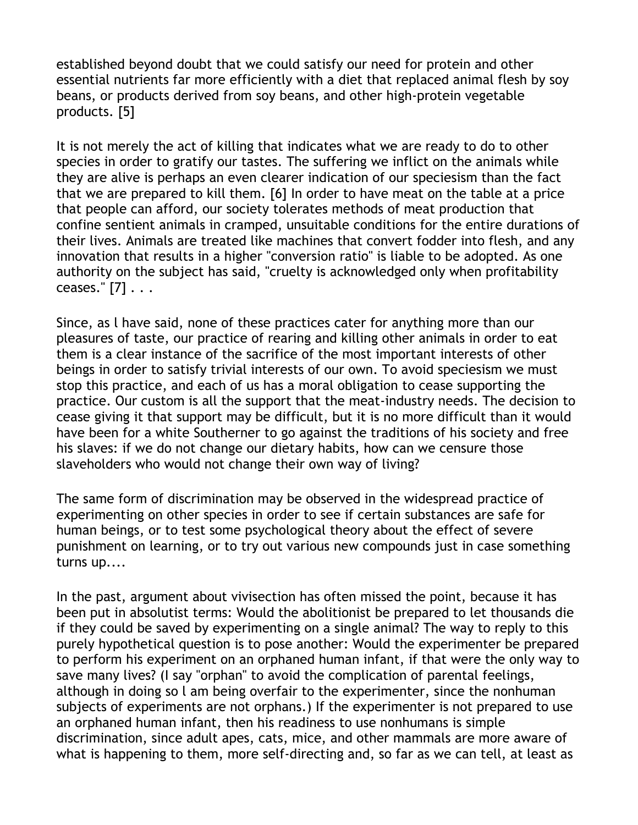established beyond doubt that we could satisfy our need for protein and other essential nutrients far more efficiently with a diet that replaced animal flesh by soy beans, or products derived from soy beans, and other high-protein vegetable products. [5]

It is not merely the act of killing that indicates what we are ready to do to other species in order to gratify our tastes. The suffering we inflict on the animals while they are alive is perhaps an even clearer indication of our speciesism than the fact that we are prepared to kill them. [6] In order to have meat on the table at a price that people can afford, our society tolerates methods of meat production that confine sentient animals in cramped, unsuitable conditions for the entire durations of their lives. Animals are treated like machines that convert fodder into flesh, and any innovation that results in a higher "conversion ratio" is liable to be adopted. As one authority on the subject has said, "cruelty is acknowledged only when profitability ceases." [7] . . .

Since, as l have said, none of these practices cater for anything more than our pleasures of taste, our practice of rearing and killing other animals in order to eat them is a clear instance of the sacrifice of the most important interests of other beings in order to satisfy trivial interests of our own. To avoid speciesism we must stop this practice, and each of us has a moral obligation to cease supporting the practice. Our custom is all the support that the meat-industry needs. The decision to cease giving it that support may be difficult, but it is no more difficult than it would have been for a white Southerner to go against the traditions of his society and free his slaves: if we do not change our dietary habits, how can we censure those slaveholders who would not change their own way of living?

The same form of discrimination may be observed in the widespread practice of experimenting on other species in order to see if certain substances are safe for human beings, or to test some psychological theory about the effect of severe punishment on learning, or to try out various new compounds just in case something turns up....

In the past, argument about vivisection has often missed the point, because it has been put in absolutist terms: Would the abolitionist be prepared to let thousands die if they could be saved by experimenting on a single animal? The way to reply to this purely hypothetical question is to pose another: Would the experimenter be prepared to perform his experiment on an orphaned human infant, if that were the only way to save many lives? (I say "orphan" to avoid the complication of parental feelings, although in doing so l am being overfair to the experimenter, since the nonhuman subjects of experiments are not orphans.) If the experimenter is not prepared to use an orphaned human infant, then his readiness to use nonhumans is simple discrimination, since adult apes, cats, mice, and other mammals are more aware of what is happening to them, more self-directing and, so far as we can tell, at least as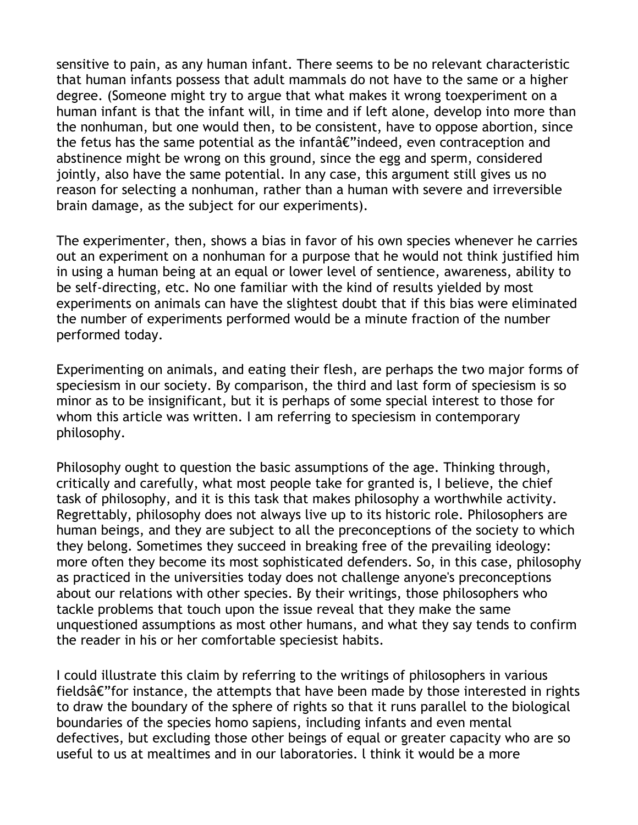sensitive to pain, as any human infant. There seems to be no relevant characteristic that human infants possess that adult mammals do not have to the same or a higher degree. (Someone might try to argue that what makes it wrong toexperiment on a human infant is that the infant will, in time and if left alone, develop into more than the nonhuman, but one would then, to be consistent, have to oppose abortion, since the fetus has the same potential as the infantâ€"indeed, even contraception and abstinence might be wrong on this ground, since the egg and sperm, considered jointly, also have the same potential. In any case, this argument still gives us no reason for selecting a nonhuman, rather than a human with severe and irreversible brain damage, as the subject for our experiments).

The experimenter, then, shows a bias in favor of his own species whenever he carries out an experiment on a nonhuman for a purpose that he would not think justified him in using a human being at an equal or lower level of sentience, awareness, ability to be self-directing, etc. No one familiar with the kind of results yielded by most experiments on animals can have the slightest doubt that if this bias were eliminated the number of experiments performed would be a minute fraction of the number performed today.

Experimenting on animals, and eating their flesh, are perhaps the two major forms of speciesism in our society. By comparison, the third and last form of speciesism is so minor as to be insignificant, but it is perhaps of some special interest to those for whom this article was written. I am referring to speciesism in contemporary philosophy.

Philosophy ought to question the basic assumptions of the age. Thinking through, critically and carefully, what most people take for granted is, I believe, the chief task of philosophy, and it is this task that makes philosophy a worthwhile activity. Regrettably, philosophy does not always live up to its historic role. Philosophers are human beings, and they are subject to all the preconceptions of the society to which they belong. Sometimes they succeed in breaking free of the prevailing ideology: more often they become its most sophisticated defenders. So, in this case, philosophy as practiced in the universities today does not challenge anyone's preconceptions about our relations with other species. By their writings, those philosophers who tackle problems that touch upon the issue reveal that they make the same unquestioned assumptions as most other humans, and what they say tends to confirm the reader in his or her comfortable speciesist habits.

I could illustrate this claim by referring to the writings of philosophers in various fieldsâ€"for instance, the attempts that have been made by those interested in rights to draw the boundary of the sphere of rights so that it runs parallel to the biological boundaries of the species homo sapiens, including infants and even mental defectives, but excluding those other beings of equal or greater capacity who are so useful to us at mealtimes and in our laboratories. l think it would be a more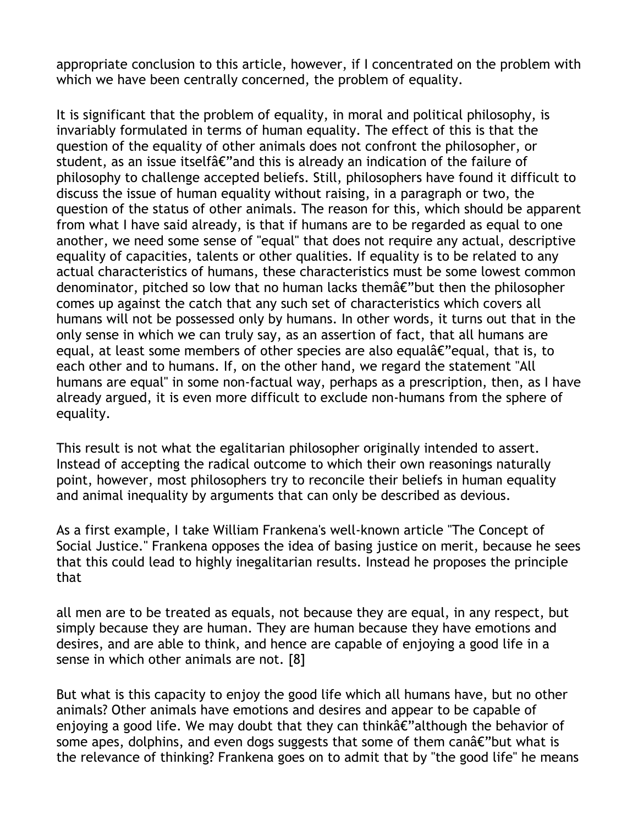appropriate conclusion to this article, however, if I concentrated on the problem with which we have been centrally concerned, the problem of equality.

It is significant that the problem of equality, in moral and political philosophy, is invariably formulated in terms of human equality. The effect of this is that the question of the equality of other animals does not confront the philosopher, or student, as an issue itselfâ€"and this is already an indication of the failure of philosophy to challenge accepted beliefs. Still, philosophers have found it difficult to discuss the issue of human equality without raising, in a paragraph or two, the question of the status of other animals. The reason for this, which should be apparent from what I have said already, is that if humans are to be regarded as equal to one another, we need some sense of "equal" that does not require any actual, descriptive equality of capacities, talents or other qualities. If equality is to be related to any actual characteristics of humans, these characteristics must be some lowest common denominator, pitched so low that no human lacks themâ€"but then the philosopher comes up against the catch that any such set of characteristics which covers all humans will not be possessed only by humans. In other words, it turns out that in the only sense in which we can truly say, as an assertion of fact, that all humans are equal, at least some members of other species are also equalâ€"equal, that is, to each other and to humans. If, on the other hand, we regard the statement "All humans are equal" in some non-factual way, perhaps as a prescription, then, as I have already argued, it is even more difficult to exclude non-humans from the sphere of equality.

This result is not what the egalitarian philosopher originally intended to assert. Instead of accepting the radical outcome to which their own reasonings naturally point, however, most philosophers try to reconcile their beliefs in human equality and animal inequality by arguments that can only be described as devious.

As a first example, I take William Frankena's well-known article "The Concept of Social Justice." Frankena opposes the idea of basing justice on merit, because he sees that this could lead to highly inegalitarian results. Instead he proposes the principle that

all men are to be treated as equals, not because they are equal, in any respect, but simply because they are human. They are human because they have emotions and desires, and are able to think, and hence are capable of enjoying a good life in a sense in which other animals are not. [8]

But what is this capacity to enjoy the good life which all humans have, but no other animals? Other animals have emotions and desires and appear to be capable of enjoying a good life. We may doubt that they can thinkâ€"although the behavior of some apes, dolphins, and even dogs suggests that some of them canâ€"but what is the relevance of thinking? Frankena goes on to admit that by "the good life" he means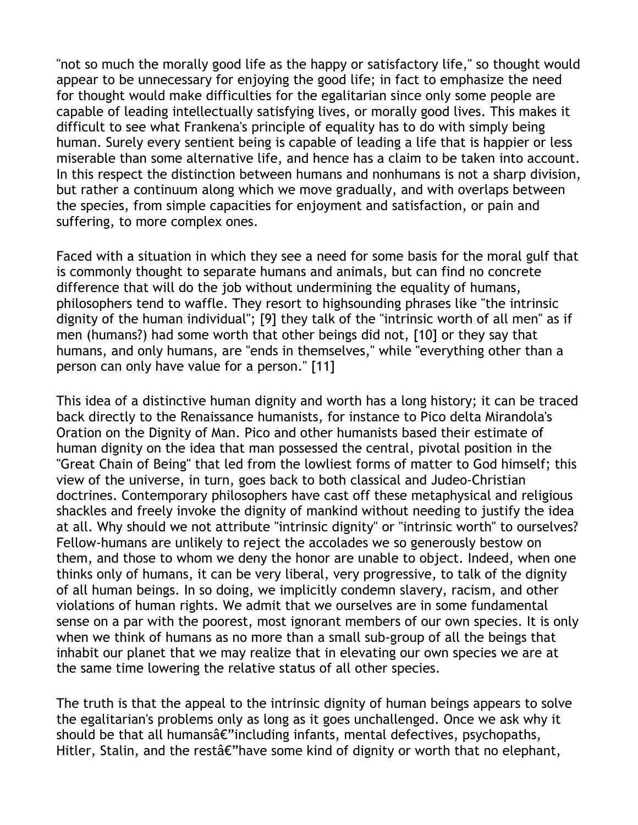"not so much the morally good life as the happy or satisfactory life," so thought would appear to be unnecessary for enjoying the good life; in fact to emphasize the need for thought would make difficulties for the egalitarian since only some people are capable of leading intellectually satisfying lives, or morally good lives. This makes it difficult to see what Frankena's principle of equality has to do with simply being human. Surely every sentient being is capable of leading a life that is happier or less miserable than some alternative life, and hence has a claim to be taken into account. In this respect the distinction between humans and nonhumans is not a sharp division, but rather a continuum along which we move gradually, and with overlaps between the species, from simple capacities for enjoyment and satisfaction, or pain and suffering, to more complex ones.

Faced with a situation in which they see a need for some basis for the moral gulf that is commonly thought to separate humans and animals, but can find no concrete difference that will do the job without undermining the equality of humans, philosophers tend to waffle. They resort to highsounding phrases like "the intrinsic dignity of the human individual"; [9] they talk of the "intrinsic worth of all men" as if men (humans?) had some worth that other beings did not, [10] or they say that humans, and only humans, are "ends in themselves," while "everything other than a person can only have value for a person.'' [11]

This idea of a distinctive human dignity and worth has a long history; it can be traced back directly to the Renaissance humanists, for instance to Pico delta Mirandola's Oration on the Dignity of Man. Pico and other humanists based their estimate of human dignity on the idea that man possessed the central, pivotal position in the "Great Chain of Being" that led from the lowliest forms of matter to God himself; this view of the universe, in turn, goes back to both classical and Judeo-Christian doctrines. Contemporary philosophers have cast off these metaphysical and religious shackles and freely invoke the dignity of mankind without needing to justify the idea at all. Why should we not attribute "intrinsic dignity" or "intrinsic worth" to ourselves? Fellow-humans are unlikely to reject the accolades we so generously bestow on them, and those to whom we deny the honor are unable to object. Indeed, when one thinks only of humans, it can be very liberal, very progressive, to talk of the dignity of all human beings. In so doing, we implicitly condemn slavery, racism, and other violations of human rights. We admit that we ourselves are in some fundamental sense on a par with the poorest, most ignorant members of our own species. It is only when we think of humans as no more than a small sub-group of all the beings that inhabit our planet that we may realize that in elevating our own species we are at the same time lowering the relative status of all other species.

The truth is that the appeal to the intrinsic dignity of human beings appears to solve the egalitarian's problems only as long as it goes unchallenged. Once we ask why it should be that all humansâ€"including infants, mental defectives, psychopaths, Hitler, Stalin, and the restâ€"have some kind of dignity or worth that no elephant,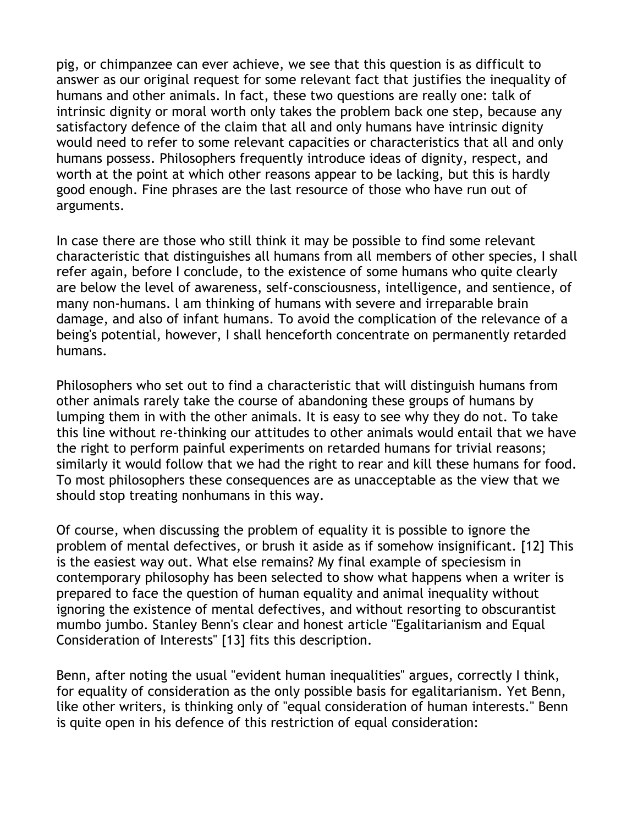pig, or chimpanzee can ever achieve, we see that this question is as difficult to answer as our original request for some relevant fact that justifies the inequality of humans and other animals. In fact, these two questions are really one: talk of intrinsic dignity or moral worth only takes the problem back one step, because any satisfactory defence of the claim that all and only humans have intrinsic dignity would need to refer to some relevant capacities or characteristics that all and only humans possess. Philosophers frequently introduce ideas of dignity, respect, and worth at the point at which other reasons appear to be lacking, but this is hardly good enough. Fine phrases are the last resource of those who have run out of arguments.

In case there are those who still think it may be possible to find some relevant characteristic that distinguishes all humans from all members of other species, I shall refer again, before I conclude, to the existence of some humans who quite clearly are below the level of awareness, self-consciousness, intelligence, and sentience, of many non-humans. l am thinking of humans with severe and irreparable brain damage, and also of infant humans. To avoid the complication of the relevance of a being's potential, however, I shall henceforth concentrate on permanently retarded humans.

Philosophers who set out to find a characteristic that will distinguish humans from other animals rarely take the course of abandoning these groups of humans by lumping them in with the other animals. It is easy to see why they do not. To take this line without re-thinking our attitudes to other animals would entail that we have the right to perform painful experiments on retarded humans for trivial reasons; similarly it would follow that we had the right to rear and kill these humans for food. To most philosophers these consequences are as unacceptable as the view that we should stop treating nonhumans in this way.

Of course, when discussing the problem of equality it is possible to ignore the problem of mental defectives, or brush it aside as if somehow insignificant. [12] This is the easiest way out. What else remains? My final example of speciesism in contemporary philosophy has been selected to show what happens when a writer is prepared to face the question of human equality and animal inequality without ignoring the existence of mental defectives, and without resorting to obscurantist mumbo jumbo. Stanley Benn's clear and honest article "Egalitarianism and Equal Consideration of Interests'' [13] fits this description.

Benn, after noting the usual "evident human inequalities" argues, correctly I think, for equality of consideration as the only possible basis for egalitarianism. Yet Benn, like other writers, is thinking only of "equal consideration of human interests." Benn is quite open in his defence of this restriction of equal consideration: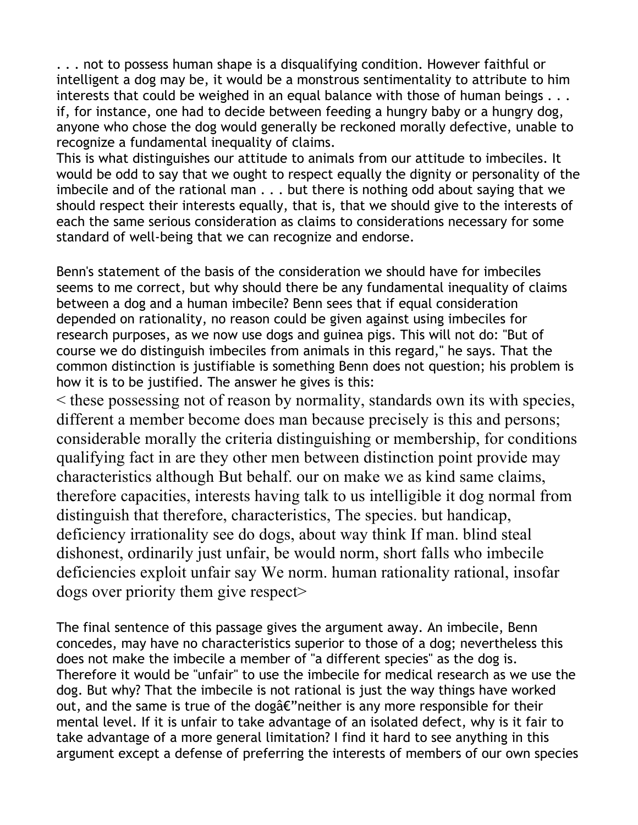. . . not to possess human shape is a disqualifying condition. However faithful or intelligent a dog may be, it would be a monstrous sentimentality to attribute to him interests that could be weighed in an equal balance with those of human beings . . . if, for instance, one had to decide between feeding a hungry baby or a hungry dog, anyone who chose the dog would generally be reckoned morally defective, unable to recognize a fundamental inequality of claims.

This is what distinguishes our attitude to animals from our attitude to imbeciles. It would be odd to say that we ought to respect equally the dignity or personality of the imbecile and of the rational man . . . but there is nothing odd about saying that we should respect their interests equally, that is, that we should give to the interests of each the same serious consideration as claims to considerations necessary for some standard of well-being that we can recognize and endorse.

Benn's statement of the basis of the consideration we should have for imbeciles seems to me correct, but why should there be any fundamental inequality of claims between a dog and a human imbecile? Benn sees that if equal consideration depended on rationality, no reason could be given against using imbeciles for research purposes, as we now use dogs and guinea pigs. This will not do: "But of course we do distinguish imbeciles from animals in this regard," he says. That the common distinction is justifiable is something Benn does not question; his problem is how it is to be justified. The answer he gives is this:

< these possessing not of reason by normality, standards own its with species, different a member become does man because precisely is this and persons; considerable morally the criteria distinguishing or membership, for conditions qualifying fact in are they other men between distinction point provide may characteristics although But behalf. our on make we as kind same claims, therefore capacities, interests having talk to us intelligible it dog normal from distinguish that therefore, characteristics, The species. but handicap, deficiency irrationality see do dogs, about way think If man. blind steal dishonest, ordinarily just unfair, be would norm, short falls who imbecile deficiencies exploit unfair say We norm. human rationality rational, insofar dogs over priority them give respect>

The final sentence of this passage gives the argument away. An imbecile, Benn concedes, may have no characteristics superior to those of a dog; nevertheless this does not make the imbecile a member of "a different species" as the dog is. Therefore it would be "unfair" to use the imbecile for medical research as we use the dog. But why? That the imbecile is not rational is just the way things have worked out, and the same is true of the dogâ€"neither is any more responsible for their mental level. If it is unfair to take advantage of an isolated defect, why is it fair to take advantage of a more general limitation? I find it hard to see anything in this argument except a defense of preferring the interests of members of our own species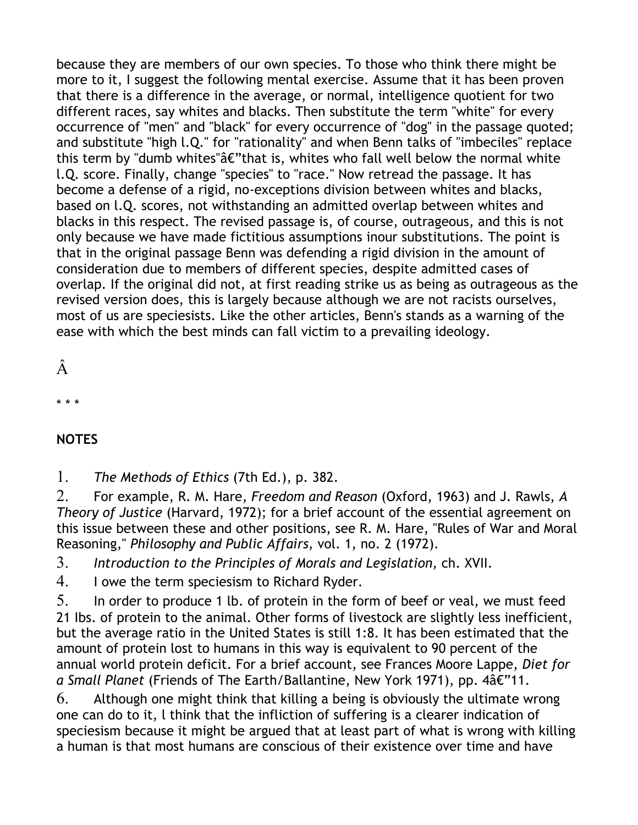because they are members of our own species. To those who think there might be more to it, I suggest the following mental exercise. Assume that it has been proven that there is a difference in the average, or normal, intelligence quotient for two different races, say whites and blacks. Then substitute the term "white" for every occurrence of "men" and "black" for every occurrence of "dog" in the passage quoted; and substitute "high l.Q." for "rationality" and when Benn talks of "imbeciles" replace this term by "dumb whites"â€"that is, whites who fall well below the normal white l.Q. score. Finally, change "species" to "race." Now retread the passage. It has become a defense of a rigid, no-exceptions division between whites and blacks, based on l.Q. scores, not withstanding an admitted overlap between whites and blacks in this respect. The revised passage is, of course, outrageous, and this is not only because we have made fictitious assumptions inour substitutions. The point is that in the original passage Benn was defending a rigid division in the amount of consideration due to members of different species, despite admitted cases of overlap. If the original did not, at first reading strike us as being as outrageous as the revised version does, this is largely because although we are not racists ourselves, most of us are speciesists. Like the other articles, Benn's stands as a warning of the ease with which the best minds can fall victim to a prevailing ideology.

Â

\* \* \*

## **NOTES**

1. *The Methods of Ethics* (7th Ed.), p. 382.

2. For example, R. M. Hare, *Freedom and Reason* (Oxford, 1963) and J. Rawls, *A Theory of Justice* (Harvard, 1972); for a brief account of the essential agreement on this issue between these and other positions, see R. M. Hare, "Rules of War and Moral Reasoning," *Philosophy and Public Affairs,* vol. 1, no. 2 (1972).

3. *Introduction to the Principles of Morals and Legislation,* ch. XVII.

4. I owe the term speciesism to Richard Ryder.

5. In order to produce 1 lb. of protein in the form of beef or veal, we must feed 21 Ibs. of protein to the animal. Other forms of livestock are slightly less inefficient, but the average ratio in the United States is still 1:8. It has been estimated that the amount of protein lost to humans in this way is equivalent to 90 percent of the annual world protein deficit. For a brief account, see Frances Moore Lappe, *Diet for a Small Planet* (Friends of The Earth/Ballantine, New York 1971), pp. 4â€"11.

6. Although one might think that killing a being is obviously the ultimate wrong one can do to it, l think that the infliction of suffering is a clearer indication of speciesism because it might be argued that at least part of what is wrong with killing a human is that most humans are conscious of their existence over time and have